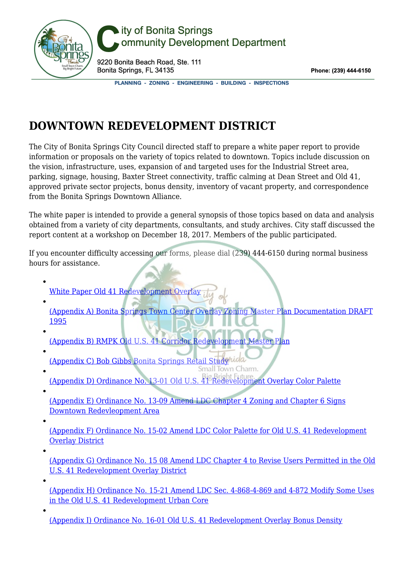

## ity of Bonita Springs ommunity Development Department

9220 Bonita Beach Road, Ste. 111 Bonita Springs, FL 34135

Phone: (239) 444-6150

PLANNING - ZONING - ENGINEERING - BUILDING - INSPECTIONS

## **DOWNTOWN REDEVELOPMENT DISTRICT**

The City of Bonita Springs City Council directed staff to prepare a white paper report to provide information or proposals on the variety of topics related to downtown. Topics include discussion on the vision, infrastructure, uses, expansion of and targeted uses for the Industrial Street area, parking, signage, housing, Baxter Street connectivity, traffic calming at Dean Street and Old 41, approved private sector projects, bonus density, inventory of vacant property, and correspondence from the Bonita Springs Downtown Alliance.

The white paper is intended to provide a general synopsis of those topics based on data and analysis obtained from a variety of city departments, consultants, and study archives. City staff discussed the report content at a workshop on December 18, 2017. Members of the public participated.

If you encounter difficulty accessing our forms, please dial (239) 444-6150 during normal business hours for assistance.

- [White Paper Old 41 Redevelopment Overlay](https://cdvps.org/wp/01%20-%20White%20Paper%20-%20Old%2041%20Redevelopment%20Overlay.pdf) [\(Appendix A\) Bonita Springs Town Center Overlay Zoning Master Plan Documentation DRAFT](https://cdvps.org/wp/Appendix%20A%20-%20Bonita%20Springs%20Town%20Center%20Overlay%20Zoning%20Master%20Plan%20Documentation%20DRAFT_1995.pdf) [1995](https://cdvps.org/wp/Appendix%20A%20-%20Bonita%20Springs%20Town%20Center%20Overlay%20Zoning%20Master%20Plan%20Documentation%20DRAFT_1995.pdf) [\(Appendix B\) RMPK Old U.S. 41 Corridor Redevelopment Master Plan](https://cdvps.org/wp/Appendix%20B%20-%20RMPK%20Old%20U.S.%2041%20Corridor%20Redevelopment%20Master%20Plan.pdf)
- [\(Appendix C\) Bob Gibbs Bonita Springs Retail Study](https://cdvps.org/wp/Appendix%20C%20-%20Bob-Gibbs-Bonita-Springs-Retail-Study1.pdf) Wolder
- [\(Appendix D\) Ordinance No. 13-01 Old U.S. 41 Redevelopment Overlay Color Palette](https://cdvps.org/wp/Appendix%20D%20-%20Ordinance-No.-13-01-Old-U.S.-41-Redevelopment-Overlay-Color-Palette1.pdf)
- [\(Appendix E\) Ordinance No. 13-09 Amend LDC Chapter 4 Zoning and Chapter 6 Signs](https://cdvps.org/wp/Appendix%20E%20-%20Ordinance-No.-13-09-Amend-LDC-Chapter-4-Zoning-and-Chapter-6-Signs-Downtown-Redevleopment-Area1.pdf) [Downtown Redevleopment Area](https://cdvps.org/wp/Appendix%20E%20-%20Ordinance-No.-13-09-Amend-LDC-Chapter-4-Zoning-and-Chapter-6-Signs-Downtown-Redevleopment-Area1.pdf)
- [\(Appendix F\) Ordinance No. 15-02 Amend LDC Color Palette for Old U.S. 41 Redevelopment](https://cdvps.org/wp/Appendix%20F%20-%20Ordinance-No.-15-02-Amend-LDC-Color-Palette-for-Old-U.S.-41-Redevelopment-Overlay-District1.pdf) [Overlay District](https://cdvps.org/wp/Appendix%20F%20-%20Ordinance-No.-15-02-Amend-LDC-Color-Palette-for-Old-U.S.-41-Redevelopment-Overlay-District1.pdf)
- [\(Appendix G\) Ordinance No. 15 08 Amend LDC Chapter 4 to Revise Users Permitted in the Old](https://cdvps.org/wp/Appendix%20G%20-%20Ordinance-No.-15-08-Amend-LDC-Chapter-4-to-Revise-Users-Permitted-in-the-Old-U.S.-41-Redevelopment-Overlay-District1.pdf) [U.S. 41 Redevelopment Overlay District](https://cdvps.org/wp/Appendix%20G%20-%20Ordinance-No.-15-08-Amend-LDC-Chapter-4-to-Revise-Users-Permitted-in-the-Old-U.S.-41-Redevelopment-Overlay-District1.pdf)
- [\(Appendix H\) Ordinance No. 15-21 Amend LDC Sec. 4-868-4-869 and 4-872 Modify Some Uses](https://cdvps.org/wp/Appendix%20H%20-%20Ordinance-No.-15-21-Amend-LDC-Sections-4-868-4-869-and-4-872-Modify-Some-Uses-in-the-Old-U.S.-41-Redevelopment-Urban-Core1.pdf) [in the Old U.S. 41 Redevelopment Urban Core](https://cdvps.org/wp/Appendix%20H%20-%20Ordinance-No.-15-21-Amend-LDC-Sections-4-868-4-869-and-4-872-Modify-Some-Uses-in-the-Old-U.S.-41-Redevelopment-Urban-Core1.pdf)
- [\(Appendix I\) Ordinance No. 16-01 Old U.S. 41 Redevelopment Overlay Bonus Density](https://cdvps.org/wp/Appendix%20I%20-%20Ordinance-No.-16-01-Old-U.S.-41-Redevelopment-Overlay-Bonus-Density1.pdf)